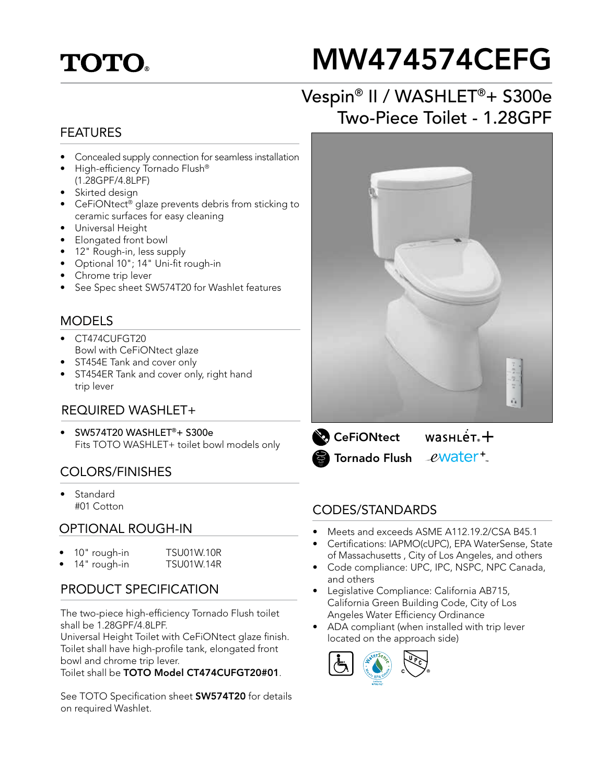## **TOTO.**

# MW474574CEFG

## Vespin® II / WASHLET®+ S300e Two-Piece Toilet - 1.28GPF

#### FEATURES

- Concealed supply connection for seamless installation
- High-efficiency Tornado Flush® (1.28GPF/4.8LPF)
- Skirted design
- CeFiONtect® glaze prevents debris from sticking to ceramic surfaces for easy cleaning
- Universal Height
- Elongated front bowl
- 12" Rough-in, less supply
- Optional 10"; 14" Uni-fit rough-in
- Chrome trip lever
- See Spec sheet SW574T20 for Washlet features

#### MODELS

- CT474CUFGT20 Bowl with CeFiONtect glaze
- ST454E Tank and cover only
- ST454ER Tank and cover only, right hand trip lever

#### REQUIRED WASHLET+

• SW574T20 WASHLET®+ S300e Fits TOTO WASHLET+ toilet bowl models only

#### COLORS/FINISHES

• Standard #01 Cotton

#### OPTIONAL ROUGH-IN

• 10" rough-in TSU01W.10R 14" rough-in TSU01W.14R

#### PRODUCT SPECIFICATION

The two-piece high-efficiency Tornado Flush toilet shall be 1.28GPF/4.8LPF.

Universal Height Toilet with CeFiONtect glaze finish. Toilet shall have high-profile tank, elongated front bowl and chrome trip lever.

Toilet shall be TOTO Model CT474CUFGT20#01.

See TOTO Specification sheet **SW574T20** for details on required Washlet.





#### CODES/STANDARDS

- Meets and exceeds ASME A112.19.2/CSA B45.1
- Certifications: IAPMO(cUPC), EPA WaterSense, State of Massachusetts , City of Los Angeles, and others
- Code compliance: UPC, IPC, NSPC, NPC Canada, and others
- Legislative Compliance: California AB715, California Green Building Code, City of Los Angeles Water Efficiency Ordinance
- ADA compliant (when installed with trip lever located on the approach side)